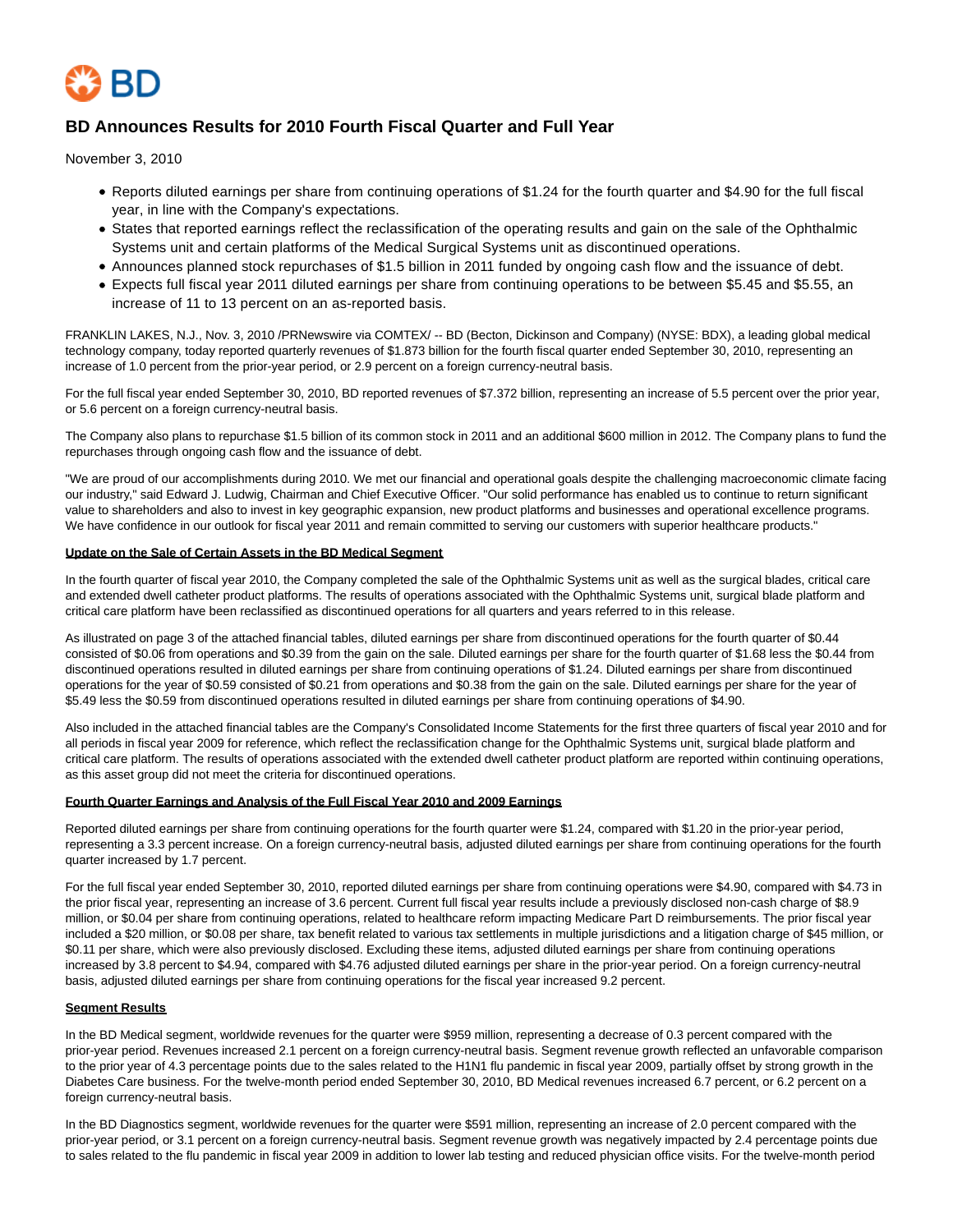

# **BD Announces Results for 2010 Fourth Fiscal Quarter and Full Year**

November 3, 2010

- Reports diluted earnings per share from continuing operations of \$1.24 for the fourth quarter and \$4.90 for the full fiscal year, in line with the Company's expectations.
- States that reported earnings reflect the reclassification of the operating results and gain on the sale of the Ophthalmic Systems unit and certain platforms of the Medical Surgical Systems unit as discontinued operations.
- Announces planned stock repurchases of \$1.5 billion in 2011 funded by ongoing cash flow and the issuance of debt.
- Expects full fiscal year 2011 diluted earnings per share from continuing operations to be between \$5.45 and \$5.55, an increase of 11 to 13 percent on an as-reported basis.

FRANKLIN LAKES, N.J., Nov. 3, 2010 /PRNewswire via COMTEX/ -- BD (Becton, Dickinson and Company) (NYSE: BDX), a leading global medical technology company, today reported quarterly revenues of \$1.873 billion for the fourth fiscal quarter ended September 30, 2010, representing an increase of 1.0 percent from the prior-year period, or 2.9 percent on a foreign currency-neutral basis.

For the full fiscal year ended September 30, 2010, BD reported revenues of \$7.372 billion, representing an increase of 5.5 percent over the prior year, or 5.6 percent on a foreign currency-neutral basis.

The Company also plans to repurchase \$1.5 billion of its common stock in 2011 and an additional \$600 million in 2012. The Company plans to fund the repurchases through ongoing cash flow and the issuance of debt.

"We are proud of our accomplishments during 2010. We met our financial and operational goals despite the challenging macroeconomic climate facing our industry," said Edward J. Ludwig, Chairman and Chief Executive Officer. "Our solid performance has enabled us to continue to return significant value to shareholders and also to invest in key geographic expansion, new product platforms and businesses and operational excellence programs. We have confidence in our outlook for fiscal year 2011 and remain committed to serving our customers with superior healthcare products."

#### **Update on the Sale of Certain Assets in the BD Medical Segment**

In the fourth quarter of fiscal year 2010, the Company completed the sale of the Ophthalmic Systems unit as well as the surgical blades, critical care and extended dwell catheter product platforms. The results of operations associated with the Ophthalmic Systems unit, surgical blade platform and critical care platform have been reclassified as discontinued operations for all quarters and years referred to in this release.

As illustrated on page 3 of the attached financial tables, diluted earnings per share from discontinued operations for the fourth quarter of \$0.44 consisted of \$0.06 from operations and \$0.39 from the gain on the sale. Diluted earnings per share for the fourth quarter of \$1.68 less the \$0.44 from discontinued operations resulted in diluted earnings per share from continuing operations of \$1.24. Diluted earnings per share from discontinued operations for the year of \$0.59 consisted of \$0.21 from operations and \$0.38 from the gain on the sale. Diluted earnings per share for the year of \$5.49 less the \$0.59 from discontinued operations resulted in diluted earnings per share from continuing operations of \$4.90.

Also included in the attached financial tables are the Company's Consolidated Income Statements for the first three quarters of fiscal year 2010 and for all periods in fiscal year 2009 for reference, which reflect the reclassification change for the Ophthalmic Systems unit, surgical blade platform and critical care platform. The results of operations associated with the extended dwell catheter product platform are reported within continuing operations, as this asset group did not meet the criteria for discontinued operations.

### **Fourth Quarter Earnings and Analysis of the Full Fiscal Year 2010 and 2009 Earnings**

Reported diluted earnings per share from continuing operations for the fourth quarter were \$1.24, compared with \$1.20 in the prior-year period, representing a 3.3 percent increase. On a foreign currency-neutral basis, adjusted diluted earnings per share from continuing operations for the fourth quarter increased by 1.7 percent.

For the full fiscal year ended September 30, 2010, reported diluted earnings per share from continuing operations were \$4.90, compared with \$4.73 in the prior fiscal year, representing an increase of 3.6 percent. Current full fiscal year results include a previously disclosed non-cash charge of \$8.9 million, or \$0.04 per share from continuing operations, related to healthcare reform impacting Medicare Part D reimbursements. The prior fiscal year included a \$20 million, or \$0.08 per share, tax benefit related to various tax settlements in multiple jurisdictions and a litigation charge of \$45 million, or \$0.11 per share, which were also previously disclosed. Excluding these items, adjusted diluted earnings per share from continuing operations increased by 3.8 percent to \$4.94, compared with \$4.76 adjusted diluted earnings per share in the prior-year period. On a foreign currency-neutral basis, adjusted diluted earnings per share from continuing operations for the fiscal year increased 9.2 percent.

### **Segment Results**

In the BD Medical segment, worldwide revenues for the quarter were \$959 million, representing a decrease of 0.3 percent compared with the prior-year period. Revenues increased 2.1 percent on a foreign currency-neutral basis. Segment revenue growth reflected an unfavorable comparison to the prior year of 4.3 percentage points due to the sales related to the H1N1 flu pandemic in fiscal year 2009, partially offset by strong growth in the Diabetes Care business. For the twelve-month period ended September 30, 2010, BD Medical revenues increased 6.7 percent, or 6.2 percent on a foreign currency-neutral basis.

In the BD Diagnostics segment, worldwide revenues for the quarter were \$591 million, representing an increase of 2.0 percent compared with the prior-year period, or 3.1 percent on a foreign currency-neutral basis. Segment revenue growth was negatively impacted by 2.4 percentage points due to sales related to the flu pandemic in fiscal year 2009 in addition to lower lab testing and reduced physician office visits. For the twelve-month period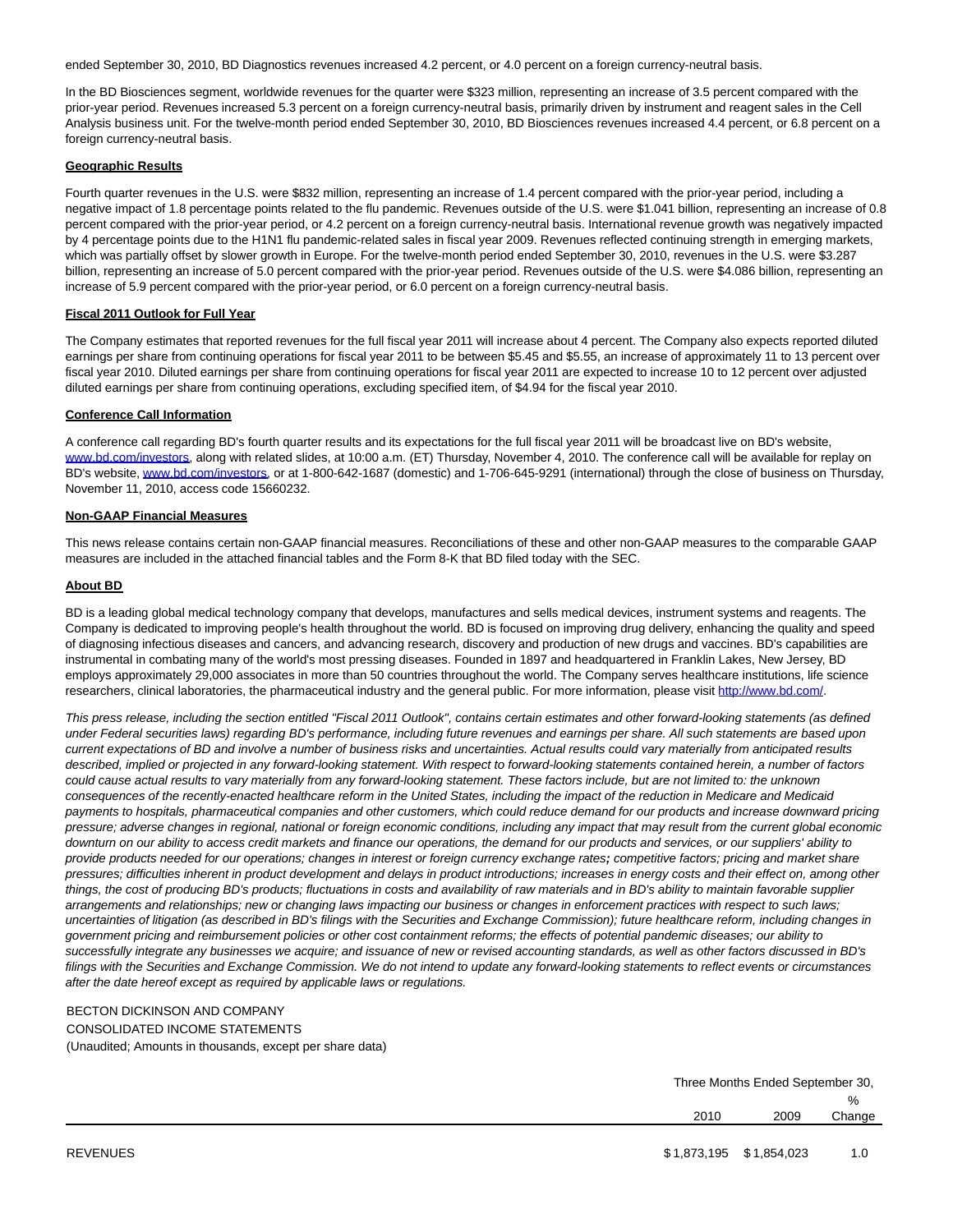ended September 30, 2010, BD Diagnostics revenues increased 4.2 percent, or 4.0 percent on a foreign currency-neutral basis.

In the BD Biosciences segment, worldwide revenues for the quarter were \$323 million, representing an increase of 3.5 percent compared with the prior-year period. Revenues increased 5.3 percent on a foreign currency-neutral basis, primarily driven by instrument and reagent sales in the Cell Analysis business unit. For the twelve-month period ended September 30, 2010, BD Biosciences revenues increased 4.4 percent, or 6.8 percent on a foreign currency-neutral basis.

#### **Geographic Results**

Fourth quarter revenues in the U.S. were \$832 million, representing an increase of 1.4 percent compared with the prior-year period, including a negative impact of 1.8 percentage points related to the flu pandemic. Revenues outside of the U.S. were \$1.041 billion, representing an increase of 0.8 percent compared with the prior-year period, or 4.2 percent on a foreign currency-neutral basis. International revenue growth was negatively impacted by 4 percentage points due to the H1N1 flu pandemic-related sales in fiscal year 2009. Revenues reflected continuing strength in emerging markets, which was partially offset by slower growth in Europe. For the twelve-month period ended September 30, 2010, revenues in the U.S. were \$3.287 billion, representing an increase of 5.0 percent compared with the prior-year period. Revenues outside of the U.S. were \$4.086 billion, representing an increase of 5.9 percent compared with the prior-year period, or 6.0 percent on a foreign currency-neutral basis.

### **Fiscal 2011 Outlook for Full Year**

The Company estimates that reported revenues for the full fiscal year 2011 will increase about 4 percent. The Company also expects reported diluted earnings per share from continuing operations for fiscal year 2011 to be between \$5.45 and \$5.55, an increase of approximately 11 to 13 percent over fiscal year 2010. Diluted earnings per share from continuing operations for fiscal year 2011 are expected to increase 10 to 12 percent over adjusted diluted earnings per share from continuing operations, excluding specified item, of \$4.94 for the fiscal year 2010.

#### **Conference Call Information**

A conference call regarding BD's fourth quarter results and its expectations for the full fiscal year 2011 will be broadcast live on BD's website, [www.bd.com/investors,](http://www.bd.com/investors) along with related slides, at 10:00 a.m. (ET) Thursday, November 4, 2010. The conference call will be available for replay on BD's website, [www.bd.com/investors,](http://www.bd.com/investors) or at 1-800-642-1687 (domestic) and 1-706-645-9291 (international) through the close of business on Thursday, November 11, 2010, access code 15660232.

### **Non-GAAP Financial Measures**

This news release contains certain non-GAAP financial measures. Reconciliations of these and other non-GAAP measures to the comparable GAAP measures are included in the attached financial tables and the Form 8-K that BD filed today with the SEC.

#### **About BD**

BD is a leading global medical technology company that develops, manufactures and sells medical devices, instrument systems and reagents. The Company is dedicated to improving people's health throughout the world. BD is focused on improving drug delivery, enhancing the quality and speed of diagnosing infectious diseases and cancers, and advancing research, discovery and production of new drugs and vaccines. BD's capabilities are instrumental in combating many of the world's most pressing diseases. Founded in 1897 and headquartered in Franklin Lakes, New Jersey, BD employs approximately 29,000 associates in more than 50 countries throughout the world. The Company serves healthcare institutions, life science researchers, clinical laboratories, the pharmaceutical industry and the general public. For more information, please visit [http://www.bd.com/.](http://www.bd.com/)

This press release, including the section entitled "Fiscal 2011 Outlook", contains certain estimates and other forward-looking statements (as defined under Federal securities laws) regarding BD's performance, including future revenues and earnings per share. All such statements are based upon current expectations of BD and involve a number of business risks and uncertainties. Actual results could vary materially from anticipated results described, implied or projected in any forward-looking statement. With respect to forward-looking statements contained herein, a number of factors could cause actual results to vary materially from any forward-looking statement. These factors include, but are not limited to: the unknown consequences of the recently-enacted healthcare reform in the United States, including the impact of the reduction in Medicare and Medicaid payments to hospitals, pharmaceutical companies and other customers, which could reduce demand for our products and increase downward pricing pressure; adverse changes in regional, national or foreign economic conditions, including any impact that may result from the current global economic downturn on our ability to access credit markets and finance our operations, the demand for our products and services, or our suppliers' ability to provide products needed for our operations; changes in interest or foreign currency exchange rates**;** competitive factors; pricing and market share pressures; difficulties inherent in product development and delays in product introductions; increases in energy costs and their effect on, among other things, the cost of producing BD's products; fluctuations in costs and availability of raw materials and in BD's ability to maintain favorable supplier arrangements and relationships; new or changing laws impacting our business or changes in enforcement practices with respect to such laws; uncertainties of litigation (as described in BD's filings with the Securities and Exchange Commission); future healthcare reform, including changes in government pricing and reimbursement policies or other cost containment reforms; the effects of potential pandemic diseases; our ability to successfully integrate any businesses we acquire; and issuance of new or revised accounting standards, as well as other factors discussed in BD's filings with the Securities and Exchange Commission. We do not intend to update any forward-looking statements to reflect events or circumstances after the date hereof except as required by applicable laws or regulations.

### BECTON DICKINSON AND COMPANY

CONSOLIDATED INCOME STATEMENTS (Unaudited; Amounts in thousands, except per share data)

|                 |                         |      | Three Months Ended September 30, |  |  |
|-----------------|-------------------------|------|----------------------------------|--|--|
|                 |                         |      | $\%$                             |  |  |
|                 | 2010                    | 2009 | Change                           |  |  |
|                 |                         |      |                                  |  |  |
| <b>REVENUES</b> | \$1,873,195 \$1,854,023 |      |                                  |  |  |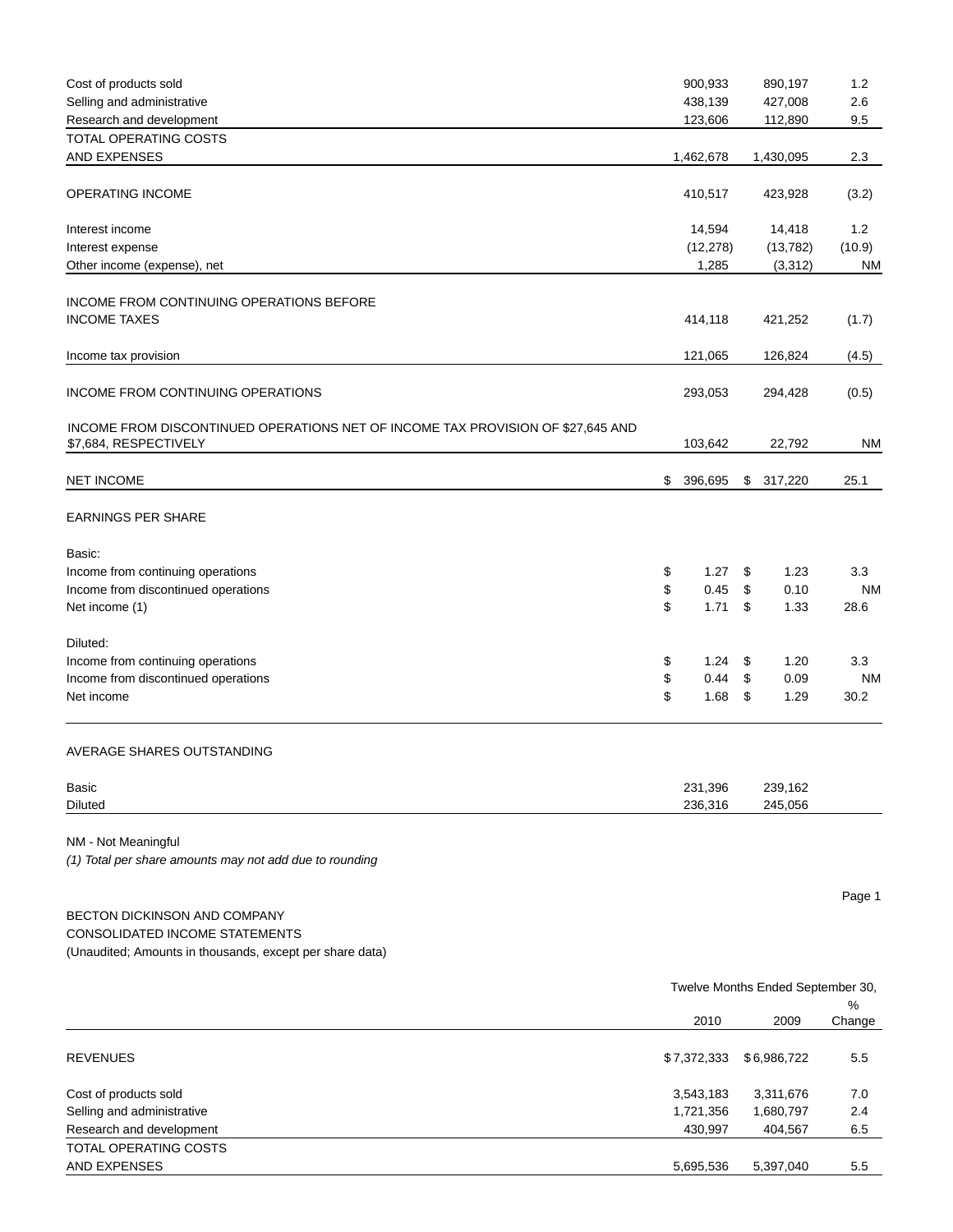| Cost of products sold                                                                                    | 900,933       | 890,197                           | 1.2       |
|----------------------------------------------------------------------------------------------------------|---------------|-----------------------------------|-----------|
| Selling and administrative                                                                               | 438,139       | 427,008                           | 2.6       |
| Research and development                                                                                 | 123,606       | 112,890                           | 9.5       |
| <b>TOTAL OPERATING COSTS</b><br>AND EXPENSES                                                             | 1,462,678     | 1,430,095                         | 2.3       |
|                                                                                                          |               |                                   |           |
| OPERATING INCOME                                                                                         | 410,517       | 423,928                           | (3.2)     |
| Interest income                                                                                          | 14,594        | 14,418                            | 1.2       |
| Interest expense                                                                                         | (12, 278)     | (13, 782)                         | (10.9)    |
| Other income (expense), net                                                                              | 1,285         | (3,312)                           | <b>NM</b> |
|                                                                                                          |               |                                   |           |
| INCOME FROM CONTINUING OPERATIONS BEFORE<br><b>INCOME TAXES</b>                                          | 414,118       | 421,252                           | (1.7)     |
|                                                                                                          |               |                                   |           |
| Income tax provision                                                                                     | 121,065       | 126,824                           | (4.5)     |
| <b>INCOME FROM CONTINUING OPERATIONS</b>                                                                 | 293,053       | 294,428                           | (0.5)     |
| INCOME FROM DISCONTINUED OPERATIONS NET OF INCOME TAX PROVISION OF \$27,645 AND<br>\$7,684, RESPECTIVELY | 103,642       | 22,792                            | <b>NM</b> |
|                                                                                                          |               |                                   |           |
| <b>NET INCOME</b>                                                                                        | \$<br>396,695 | \$317,220                         | 25.1      |
| <b>EARNINGS PER SHARE</b>                                                                                |               |                                   |           |
| Basic:                                                                                                   |               |                                   |           |
| Income from continuing operations                                                                        | \$<br>1.27    | \$<br>1.23                        | 3.3       |
| Income from discontinued operations                                                                      | \$<br>0.45    | \$<br>0.10                        | <b>NM</b> |
| Net income (1)                                                                                           | \$<br>1.71    | \$<br>1.33                        | 28.6      |
| Diluted:                                                                                                 |               |                                   |           |
| Income from continuing operations                                                                        | \$<br>1.24    | \$<br>1.20                        | 3.3       |
| Income from discontinued operations                                                                      | \$<br>0.44    | \$<br>0.09                        | <b>NM</b> |
| Net income                                                                                               | \$<br>1.68    | \$<br>1.29                        | 30.2      |
| AVERAGE SHARES OUTSTANDING                                                                               |               |                                   |           |
| Basic                                                                                                    | 231,396       | 239,162                           |           |
| <b>Diluted</b>                                                                                           | 236,316       | 245,056                           |           |
| NM - Not Meaningful                                                                                      |               |                                   |           |
| (1) Total per share amounts may not add due to rounding                                                  |               |                                   |           |
|                                                                                                          |               |                                   | Page 1    |
| BECTON DICKINSON AND COMPANY                                                                             |               |                                   |           |
| CONSOLIDATED INCOME STATEMENTS                                                                           |               |                                   |           |
| (Unaudited; Amounts in thousands, except per share data)                                                 |               |                                   |           |
|                                                                                                          |               |                                   |           |
|                                                                                                          |               | Twelve Months Ended September 30, | $\%$      |
|                                                                                                          | 2010          | 2009                              | Change    |
| <b>REVENUES</b>                                                                                          | \$7,372,333   | \$6,986,722                       | 5.5       |
| Cost of products sold                                                                                    | 3,543,183     | 3,311,676                         | 7.0       |
| Selling and administrative                                                                               | 1,721,356     | 1,680,797                         | 2.4       |
| Research and development                                                                                 | 430,997       | 404,567                           | 6.5       |
| TOTAL OPERATING COSTS                                                                                    |               |                                   |           |
| AND EXPENSES                                                                                             | 5,695,536     | 5,397,040                         | 5.5       |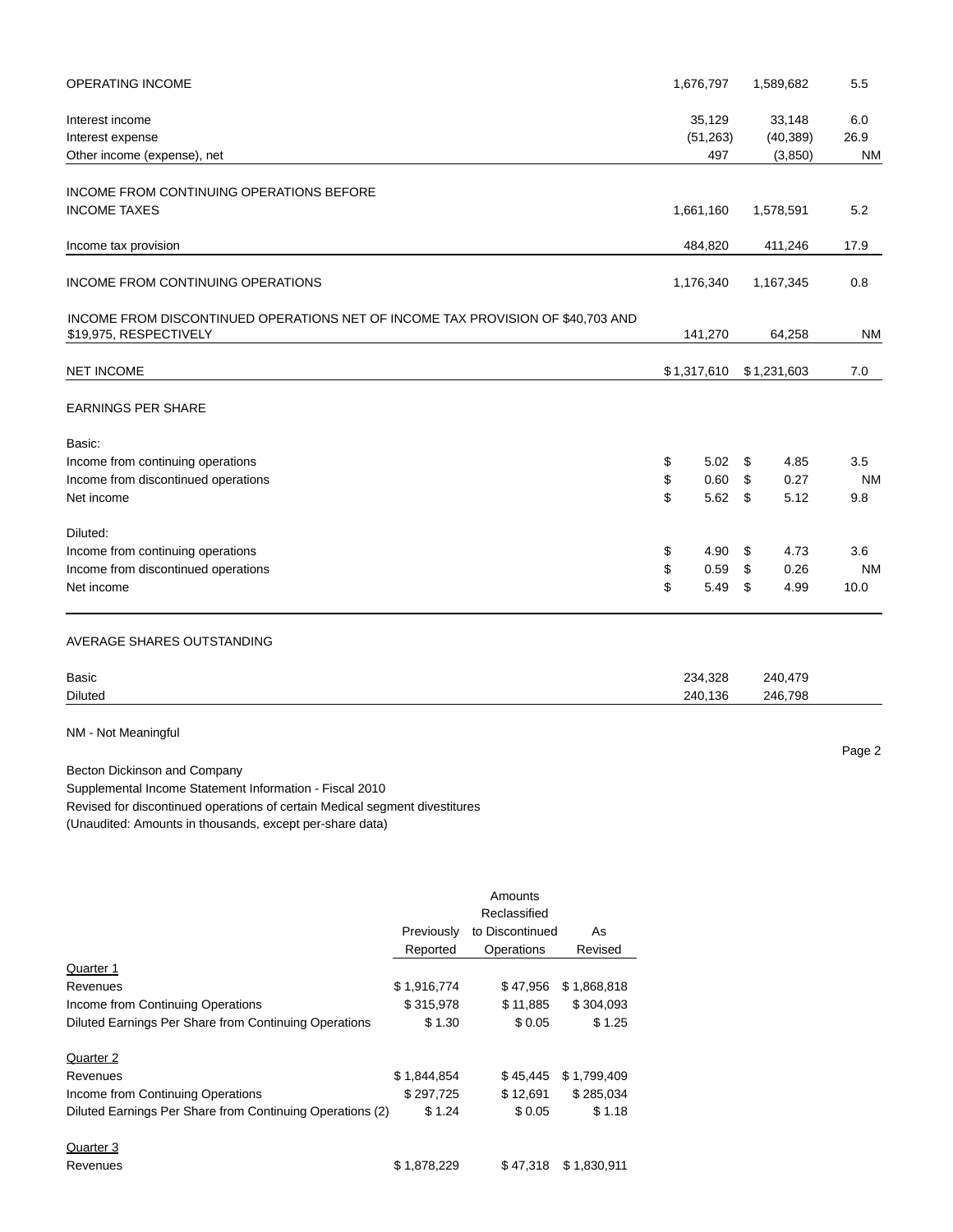| OPERATING INCOME                                                                                          |             |                 |             |          | 1,676,797           |          | 1,589,682           | 5.5              |
|-----------------------------------------------------------------------------------------------------------|-------------|-----------------|-------------|----------|---------------------|----------|---------------------|------------------|
| Interest income<br>Interest expense                                                                       |             |                 |             |          | 35,129<br>(51, 263) |          | 33,148<br>(40, 389) | 6.0<br>26.9      |
| Other income (expense), net                                                                               |             |                 |             |          | 497                 |          | (3,850)             | <b>NM</b>        |
| INCOME FROM CONTINUING OPERATIONS BEFORE                                                                  |             |                 |             |          |                     |          |                     |                  |
| <b>INCOME TAXES</b>                                                                                       |             |                 |             |          | 1,661,160           |          | 1,578,591           | 5.2              |
| Income tax provision                                                                                      |             |                 |             |          | 484,820             |          | 411,246             | 17.9             |
| INCOME FROM CONTINUING OPERATIONS                                                                         |             |                 |             |          | 1,176,340           |          | 1,167,345           | 0.8              |
| INCOME FROM DISCONTINUED OPERATIONS NET OF INCOME TAX PROVISION OF \$40,703 AND<br>\$19,975, RESPECTIVELY |             |                 |             |          | 141,270             |          | 64,258              | <b>NM</b>        |
| NET INCOME                                                                                                |             |                 |             |          | \$1,317,610         |          | \$1,231,603         | 7.0              |
| EARNINGS PER SHARE                                                                                        |             |                 |             |          |                     |          |                     |                  |
| Basic:                                                                                                    |             |                 |             |          |                     |          |                     |                  |
| Income from continuing operations                                                                         |             |                 |             | \$       | 5.02                | \$       | 4.85                | 3.5              |
| Income from discontinued operations<br>Net income                                                         |             |                 |             | \$<br>\$ | 0.60<br>5.62        | \$<br>\$ | 0.27<br>5.12        | <b>NM</b><br>9.8 |
|                                                                                                           |             |                 |             |          |                     |          |                     |                  |
| Diluted:                                                                                                  |             |                 |             |          |                     |          |                     |                  |
| Income from continuing operations                                                                         |             |                 |             | \$       | 4.90                | \$       | 4.73                | 3.6              |
| Income from discontinued operations                                                                       |             |                 |             | \$       | 0.59                | \$       | 0.26                | <b>NM</b>        |
| Net income                                                                                                |             |                 |             | \$       | 5.49                | \$       | 4.99                | 10.0             |
| AVERAGE SHARES OUTSTANDING                                                                                |             |                 |             |          |                     |          |                     |                  |
| Basic                                                                                                     |             |                 |             |          | 234,328             |          | 240,479             |                  |
| Diluted                                                                                                   |             |                 |             |          | 240,136             |          | 246,798             |                  |
| NM - Not Meaningful                                                                                       |             |                 |             |          |                     |          |                     |                  |
|                                                                                                           |             |                 |             |          |                     |          |                     | Page 2           |
| Becton Dickinson and Company<br>Supplemental Income Statement Information - Fiscal 2010                   |             |                 |             |          |                     |          |                     |                  |
| Revised for discontinued operations of certain Medical segment divestitures                               |             |                 |             |          |                     |          |                     |                  |
| (Unaudited: Amounts in thousands, except per-share data)                                                  |             |                 |             |          |                     |          |                     |                  |
|                                                                                                           |             |                 |             |          |                     |          |                     |                  |
|                                                                                                           |             | Amounts         |             |          |                     |          |                     |                  |
|                                                                                                           |             | Reclassified    |             |          |                     |          |                     |                  |
|                                                                                                           | Previously  | to Discontinued | As          |          |                     |          |                     |                  |
|                                                                                                           | Reported    | Operations      | Revised     |          |                     |          |                     |                  |
| Quarter 1                                                                                                 |             |                 |             |          |                     |          |                     |                  |
| Revenues                                                                                                  | \$1,916,774 | \$47,956        | \$1,868,818 |          |                     |          |                     |                  |
| Income from Continuing Operations                                                                         | \$315,978   | \$11,885        | \$304,093   |          |                     |          |                     |                  |
| Diluted Earnings Per Share from Continuing Operations                                                     | \$1.30      | \$0.05          | \$1.25      |          |                     |          |                     |                  |
| Quarter 2                                                                                                 |             |                 |             |          |                     |          |                     |                  |
| Revenues                                                                                                  | \$1,844,854 | \$45,445        | \$1,799,409 |          |                     |          |                     |                  |
| Income from Continuing Operations                                                                         | \$297,725   | \$12,691        | \$285,034   |          |                     |          |                     |                  |
| Diluted Earnings Per Share from Continuing Operations (2)                                                 | \$1.24      | \$0.05          | \$1.18      |          |                     |          |                     |                  |
|                                                                                                           |             |                 |             |          |                     |          |                     |                  |

| Quarter 3 |             |                      |
|-----------|-------------|----------------------|
| Revenues  | \$1,878,229 | \$47,318 \$1,830,911 |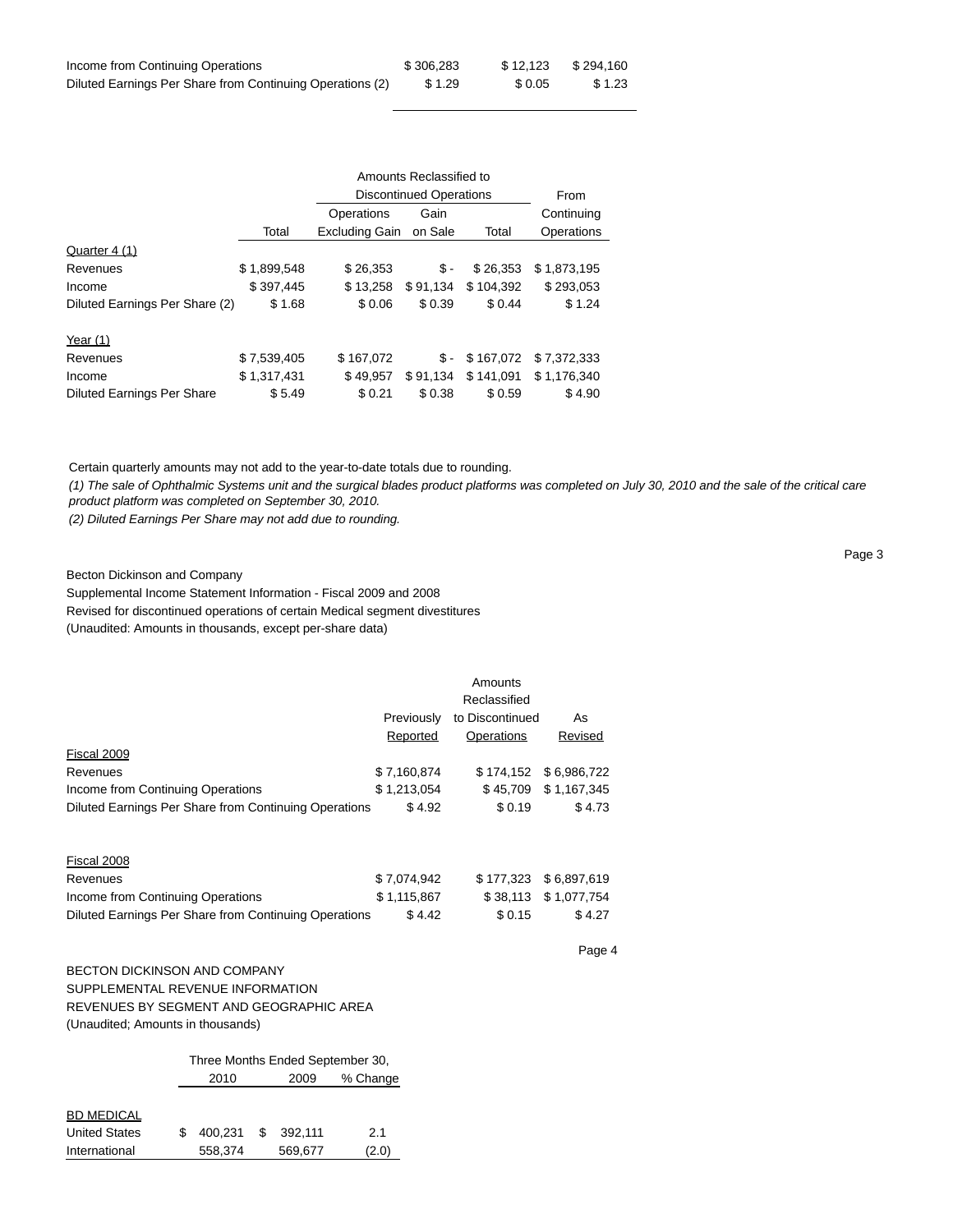| Income from Continuing Operations                         | \$306.283 | \$12.123 | \$294.160 |
|-----------------------------------------------------------|-----------|----------|-----------|
| Diluted Earnings Per Share from Continuing Operations (2) | \$1.29    | \$0.05   | \$ 1.23   |

|                                   |             | Amounts Reclassified to        |          |           |             |  |  |
|-----------------------------------|-------------|--------------------------------|----------|-----------|-------------|--|--|
|                                   |             | <b>Discontinued Operations</b> |          | From      |             |  |  |
|                                   |             | Operations                     | Gain     |           | Continuing  |  |  |
|                                   | Total       | <b>Excluding Gain</b>          | on Sale  | Total     | Operations  |  |  |
| Quarter 4 (1)                     |             |                                |          |           |             |  |  |
| Revenues                          | \$1,899,548 | \$26.353                       | \$-      | \$26.353  | \$1,873,195 |  |  |
| Income                            | \$397,445   | \$13.258                       | \$91,134 | \$104.392 | \$293,053   |  |  |
| Diluted Earnings Per Share (2)    | \$1.68      | \$0.06                         | \$0.39   | \$0.44    | \$1.24      |  |  |
| Year $(1)$                        |             |                                |          |           |             |  |  |
| Revenues                          | \$7,539,405 | \$167.072                      | \$-      | \$167.072 | \$7.372.333 |  |  |
| Income                            | \$1,317,431 | \$49,957                       | \$91,134 | \$141,091 | \$1.176.340 |  |  |
| <b>Diluted Earnings Per Share</b> | \$5.49      | \$0.21                         | \$0.38   | \$0.59    | \$4.90      |  |  |

Certain quarterly amounts may not add to the year-to-date totals due to rounding.

(1) The sale of Ophthalmic Systems unit and the surgical blades product platforms was completed on July 30, 2010 and the sale of the critical care product platform was completed on September 30, 2010.

(2) Diluted Earnings Per Share may not add due to rounding.

Becton Dickinson and Company

Supplemental Income Statement Information - Fiscal 2009 and 2008

Revised for discontinued operations of certain Medical segment divestitures

(Unaudited: Amounts in thousands, except per-share data)

|                                                       |             | Amounts           |             |
|-------------------------------------------------------|-------------|-------------------|-------------|
|                                                       |             | Reclassified      |             |
|                                                       | Previously  | to Discontinued   | As          |
|                                                       | Reported    | <b>Operations</b> | Revised     |
| Fiscal 2009                                           |             |                   |             |
| Revenues                                              | \$7,160,874 | \$174.152         | \$6,986,722 |
| Income from Continuing Operations                     | \$1,213,054 | \$45,709          | \$1,167,345 |
| Diluted Earnings Per Share from Continuing Operations | \$4.92      | \$0.19            | \$4.73      |
|                                                       |             |                   |             |
| Fiscal 2008                                           |             |                   |             |
| Revenues                                              | \$7,074,942 | \$177.323         | \$6,897,619 |
| Income from Continuing Operations                     | \$1,115,867 | \$38,113          | \$1,077,754 |
| Diluted Earnings Per Share from Continuing Operations | \$4.42      | \$0.15            | \$4.27      |

Page 4

Page 3

# BECTON DICKINSON AND COMPANY SUPPLEMENTAL REVENUE INFORMATION REVENUES BY SEGMENT AND GEOGRAPHIC AREA

(Unaudited; Amounts in thousands)

|                      | Three Months Ended September 30, |    |         |          |  |
|----------------------|----------------------------------|----|---------|----------|--|
|                      | 2010                             |    | 2009    | % Change |  |
|                      |                                  |    |         |          |  |
| <b>BD MEDICAL</b>    |                                  |    |         |          |  |
| <b>United States</b> | 400.231                          | -S | 392.111 | 2.1      |  |
| International        | 558,374                          |    | 569,677 | (2.0)    |  |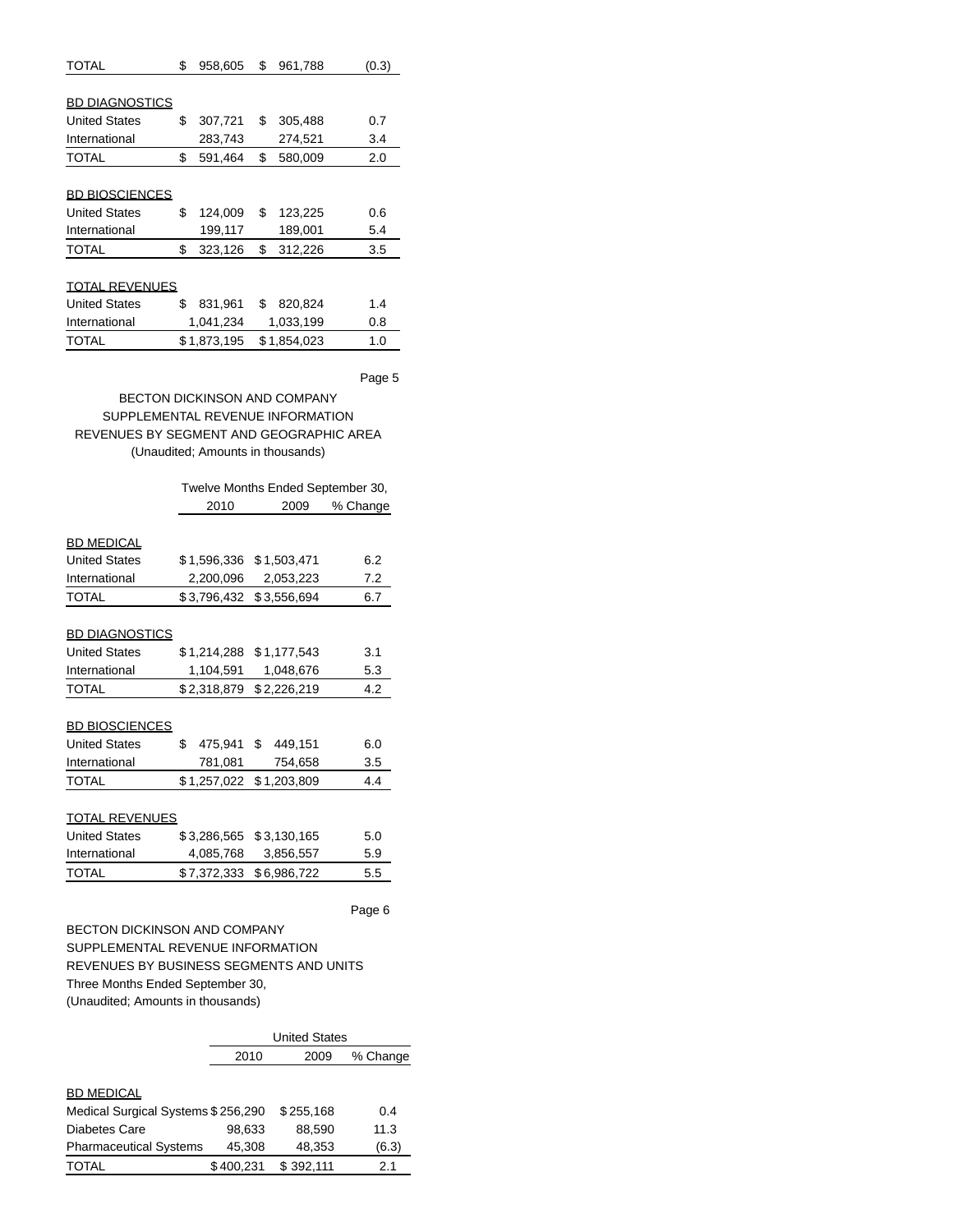| TOTAL                                         | \$<br>958,605                       | \$<br>961,788            | (0.3)                             |
|-----------------------------------------------|-------------------------------------|--------------------------|-----------------------------------|
|                                               |                                     |                          |                                   |
| <b>BD DIAGNOSTICS</b>                         |                                     |                          |                                   |
| <b>United States</b>                          | \$<br>307,721                       | \$<br>305,488            | 0.7                               |
| International                                 | 283,743                             | 274,521                  | 3.4                               |
| TOTAL                                         | \$<br>591,464                       | \$<br>580,009            | 2.0                               |
|                                               |                                     |                          |                                   |
| <b>BD BIOSCIENCES</b>                         |                                     |                          |                                   |
| <b>United States</b>                          | \$<br>124,009                       | \$<br>123,225            | 0.6                               |
| International                                 | 199,117                             | 189,001                  | 5.4                               |
| <b>TOTAL</b>                                  | \$<br>323,126                       | \$<br>312,226            | 3.5                               |
|                                               |                                     |                          |                                   |
| <b>TOTAL REVENUES</b>                         |                                     |                          |                                   |
| <b>United States</b>                          | \$<br>831,961                       | \$<br>820,824            | 1.4                               |
| International                                 | 1,041,234                           | 1,033,199                | 0.8                               |
| <b>TOTAL</b>                                  | \$1,873,195                         | \$1,854,023              | 1.0                               |
|                                               |                                     |                          |                                   |
|                                               |                                     |                          | Page 5                            |
|                                               |                                     |                          |                                   |
|                                               | <b>BECTON DICKINSON AND COMPANY</b> |                          |                                   |
| SUPPLEMENTAL REVENUE INFORMATION              |                                     |                          |                                   |
| REVENUES BY SEGMENT AND GEOGRAPHIC AREA       |                                     |                          |                                   |
|                                               | (Unaudited; Amounts in thousands)   |                          |                                   |
|                                               |                                     |                          |                                   |
|                                               |                                     |                          |                                   |
|                                               | 2010                                | 2009                     | Twelve Months Ended September 30, |
|                                               |                                     |                          | % Change                          |
| <b>BD MEDICAL</b>                             |                                     |                          |                                   |
| <b>United States</b>                          | \$1,596,336                         | \$1,503,471              | 6.2                               |
| International                                 | 2,200,096                           | 2,053,223                | 7.2                               |
| <b>TOTAL</b>                                  | \$3,796,432                         | \$3,556,694              | 6.7                               |
|                                               |                                     |                          |                                   |
|                                               |                                     |                          |                                   |
| <b>BD DIAGNOSTICS</b><br><b>United States</b> | \$1,214,288                         |                          | 3.1                               |
| International                                 | 1,104,591                           | \$1,177,543<br>1,048,676 | 5.3                               |

## BD BIOSCIENCES

| TOTAL                | \$1,257,022 \$1,203,809 |         | 4.4 |
|----------------------|-------------------------|---------|-----|
| International        | 781.081                 | 754,658 | 3.5 |
| <b>United States</b> | 475.941 \$ 449.151      |         | 6.0 |

## TOTAL REVENUES

| <b>United States</b> | \$3,286,565 \$3,130,165 |                         | 5.0 |
|----------------------|-------------------------|-------------------------|-----|
| International        | 4.085.768               | 3.856.557               | 5.9 |
| TOTAL                |                         | \$7,372,333 \$6,986,722 | 5.5 |

Page 6

BECTON DICKINSON AND COMPANY SUPPLEMENTAL REVENUE INFORMATION REVENUES BY BUSINESS SEGMENTS AND UNITS Three Months Ended September 30, (Unaudited; Amounts in thousands)

|                                    | <b>United States</b> |           |          |  |  |
|------------------------------------|----------------------|-----------|----------|--|--|
|                                    | 2010                 | 2009      | % Change |  |  |
|                                    |                      |           |          |  |  |
| <b>BD MEDICAL</b>                  |                      |           |          |  |  |
| Medical Surgical Systems \$256,290 |                      | \$255,168 | 0.4      |  |  |
| Diabetes Care                      | 98,633               | 88,590    | 11.3     |  |  |
| <b>Pharmaceutical Systems</b>      | 45.308               | 48,353    | (6.3)    |  |  |
| <b>TOTAL</b>                       | \$400.231            | \$392.111 | 2.1      |  |  |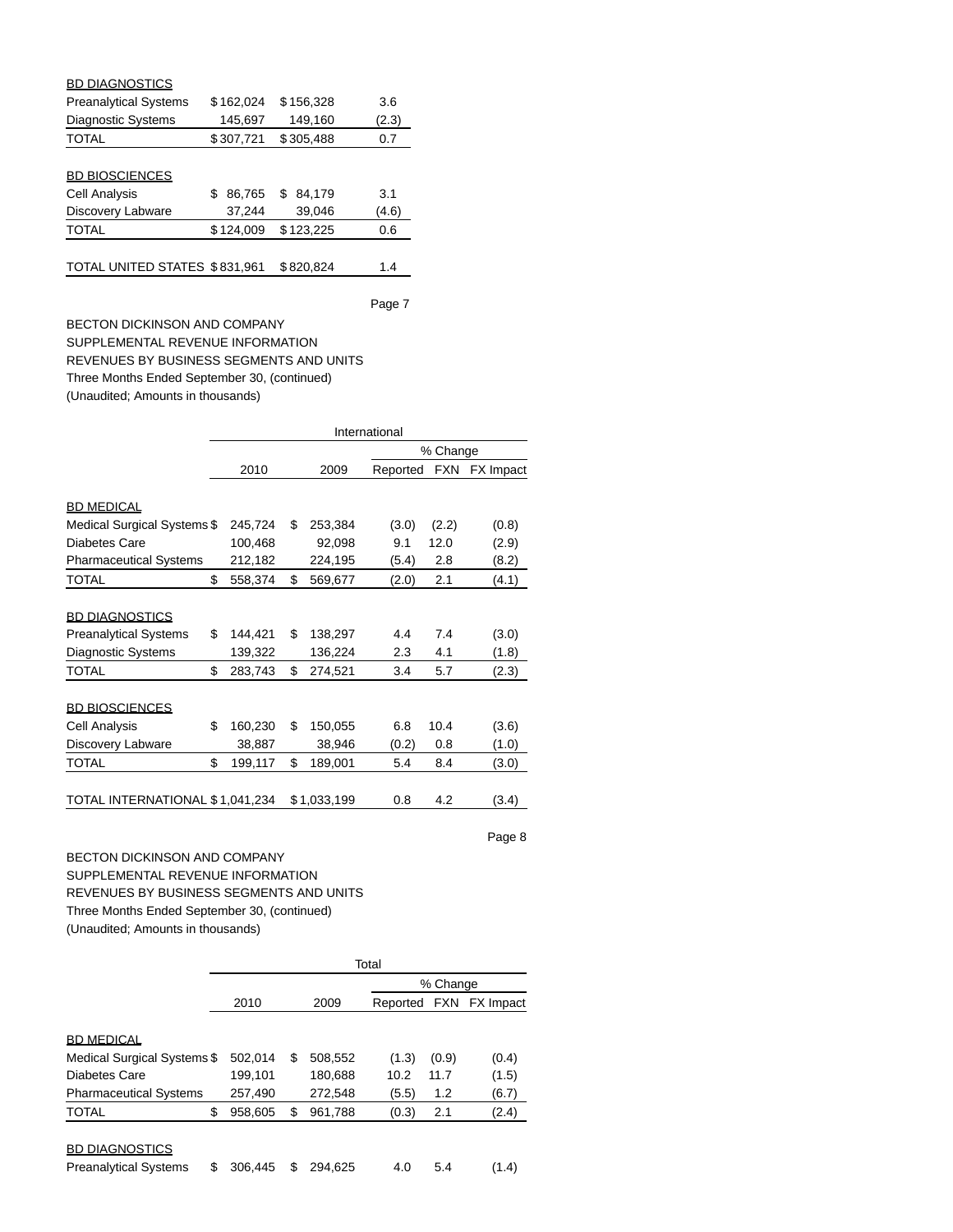| <b>BD DIAGNOSTICS</b>         |              |               |       |
|-------------------------------|--------------|---------------|-------|
| <b>Preanalytical Systems</b>  | \$162,024    | \$156,328     | 3.6   |
| <b>Diagnostic Systems</b>     | 145,697      | 149,160       | (2.3) |
| <b>TOTAL</b>                  | \$307,721    | \$305,488     | 0.7   |
|                               |              |               |       |
| <b>BD BIOSCIENCES</b>         |              |               |       |
| <b>Cell Analysis</b>          | 86,765<br>\$ | 84,179<br>\$. | 3.1   |
| Discovery Labware             | 37,244       | 39,046        | (4.6) |
| <b>TOTAL</b>                  | \$124,009    | \$123,225     | 0.6   |
|                               |              |               |       |
| TOTAL UNITED STATES \$831,961 |              | \$820,824     | 1.4   |

BECTON DICKINSON AND COMPANY SUPPLEMENTAL REVENUE INFORMATION REVENUES BY BUSINESS SEGMENTS AND UNITS Three Months Ended September 30, (continued) (Unaudited; Amounts in thousands)

|                                 | International |         |    |             |          |            |                  |  |
|---------------------------------|---------------|---------|----|-------------|----------|------------|------------------|--|
|                                 |               |         |    |             |          | % Change   |                  |  |
|                                 |               | 2010    |    | 2009        | Reported | <b>FXN</b> | <b>FX</b> Impact |  |
|                                 |               |         |    |             |          |            |                  |  |
| <b>BD MEDICAL</b>               |               |         |    |             |          |            |                  |  |
| Medical Surgical Systems \$     |               | 245,724 | \$ | 253,384     | (3.0)    | (2.2)      | (0.8)            |  |
| Diabetes Care                   |               | 100,468 |    | 92,098      | 9.1      | 12.0       | (2.9)            |  |
| <b>Pharmaceutical Systems</b>   |               | 212,182 |    | 224,195     | (5.4)    | 2.8        | (8.2)            |  |
| TOTAL                           | \$            | 558,374 | \$ | 569,677     | (2.0)    | 2.1        | (4.1)            |  |
|                                 |               |         |    |             |          |            |                  |  |
| <b>BD DIAGNOSTICS</b>           |               |         |    |             |          |            |                  |  |
| <b>Preanalytical Systems</b>    | \$            | 144,421 | \$ | 138,297     | 4.4      | 7.4        | (3.0)            |  |
| <b>Diagnostic Systems</b>       |               | 139,322 |    | 136,224     | 2.3      | 4.1        | (1.8)            |  |
| TOTAL                           | \$            | 283,743 | \$ | 274,521     | 3.4      | 5.7        | (2.3)            |  |
|                                 |               |         |    |             |          |            |                  |  |
| <b>BD BIOSCIENCES</b>           |               |         |    |             |          |            |                  |  |
| Cell Analysis                   | \$            | 160,230 | \$ | 150,055     | 6.8      | 10.4       | (3.6)            |  |
| Discovery Labware               |               | 38,887  |    | 38,946      | (0.2)    | 0.8        | (1.0)            |  |
| TOTAL                           | \$            | 199,117 | \$ | 189,001     | 5.4      | 8.4        | (3.0)            |  |
|                                 |               |         |    |             |          |            |                  |  |
| TOTAL INTERNATIONAL \$1,041,234 |               |         |    | \$1,033,199 | 0.8      | 4.2        | (3.4)            |  |

Page 8

BECTON DICKINSON AND COMPANY SUPPLEMENTAL REVENUE INFORMATION REVENUES BY BUSINESS SEGMENTS AND UNITS Three Months Ended September 30, (continued) (Unaudited; Amounts in thousands)

|                               |    | Total    |    |         |       |       |                        |  |
|-------------------------------|----|----------|----|---------|-------|-------|------------------------|--|
|                               |    | % Change |    |         |       |       |                        |  |
|                               |    | 2010     |    | 2009    |       |       | Reported FXN FX Impact |  |
|                               |    |          |    |         |       |       |                        |  |
| <b>BD MEDICAL</b>             |    |          |    |         |       |       |                        |  |
| Medical Surgical Systems \$   |    | 502,014  | \$ | 508,552 | (1.3) | (0.9) | (0.4)                  |  |
| Diabetes Care                 |    | 199,101  |    | 180,688 | 10.2  | 11.7  | (1.5)                  |  |
| <b>Pharmaceutical Systems</b> |    | 257,490  |    | 272,548 | (5.5) | 1.2   | (6.7)                  |  |
| <b>TOTAL</b>                  | \$ | 958,605  | \$ | 961,788 | (0.3) | 2.1   | (2.4)                  |  |
| <b>BD DIAGNOSTICS</b>         |    |          |    |         |       |       |                        |  |
| <b>Preanalytical Systems</b>  | S  | 306.445  | \$ | 294.625 | 4.0   | 5.4   | (1.4)                  |  |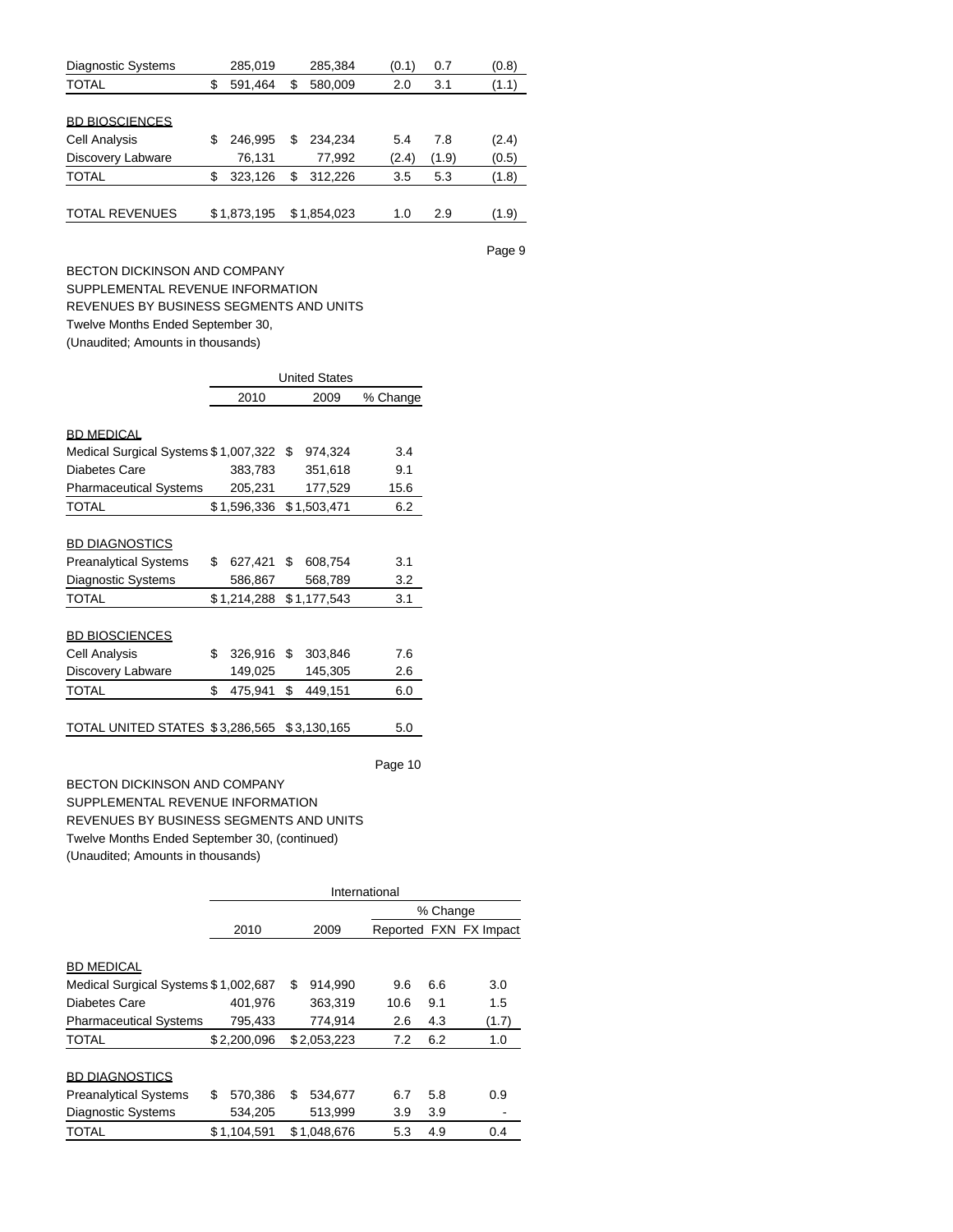| <b>Diagnostic Systems</b> |   | 285,019     |    | 285,384     | (0.1) | 0.7   | (0.8) |
|---------------------------|---|-------------|----|-------------|-------|-------|-------|
| <b>TOTAL</b>              | S | 591,464     | \$ | 580,009     | 2.0   | 3.1   | (1.1) |
|                           |   |             |    |             |       |       |       |
| <b>BD BIOSCIENCES</b>     |   |             |    |             |       |       |       |
| Cell Analysis             | S | 246.995     | S  | 234.234     | 5.4   | 7.8   | (2.4) |
| Discovery Labware         |   | 76,131      |    | 77,992      | (2.4) | (1.9) | (0.5) |
| <b>TOTAL</b>              | S | 323,126     | S  | 312,226     | 3.5   | 5.3   | (1.8) |
|                           |   |             |    |             |       |       |       |
| <b>TOTAL REVENUES</b>     |   | \$1,873,195 |    | \$1,854,023 | 1.0   | 2.9   | (1.9) |

BECTON DICKINSON AND COMPANY SUPPLEMENTAL REVENUE INFORMATION REVENUES BY BUSINESS SEGMENTS AND UNITS Twelve Months Ended September 30, (Unaudited; Amounts in thousands)

|                                      |               | <b>United States</b> |             |          |  |  |  |  |  |  |
|--------------------------------------|---------------|----------------------|-------------|----------|--|--|--|--|--|--|
|                                      | 2010          |                      | 2009        | % Change |  |  |  |  |  |  |
|                                      |               |                      |             |          |  |  |  |  |  |  |
| <b>BD MEDICAL</b>                    |               |                      |             |          |  |  |  |  |  |  |
| Medical Surgical Systems \$1,007,322 |               | - \$                 | 974,324     | 3.4      |  |  |  |  |  |  |
| Diabetes Care                        | 383,783       |                      | 351,618     | 9.1      |  |  |  |  |  |  |
| <b>Pharmaceutical Systems</b>        | 205,231       |                      | 177,529     | 15.6     |  |  |  |  |  |  |
| <b>TOTAL</b>                         | \$1,596,336   |                      | \$1,503,471 | 6.2      |  |  |  |  |  |  |
|                                      |               |                      |             |          |  |  |  |  |  |  |
| <b>BD DIAGNOSTICS</b>                |               |                      |             |          |  |  |  |  |  |  |
| <b>Preanalytical Systems</b>         | \$<br>627,421 | \$                   | 608,754     | 3.1      |  |  |  |  |  |  |
| Diagnostic Systems                   | 586,867       |                      | 568,789     | 3.2      |  |  |  |  |  |  |
| <b>TOTAL</b>                         | \$1,214,288   |                      | \$1,177,543 | 3.1      |  |  |  |  |  |  |
|                                      |               |                      |             |          |  |  |  |  |  |  |
| <b>BD BIOSCIENCES</b>                |               |                      |             |          |  |  |  |  |  |  |
| Cell Analysis                        | \$<br>326,916 | \$                   | 303,846     | 7.6      |  |  |  |  |  |  |
| Discovery Labware                    | 149,025       |                      | 145,305     | 2.6      |  |  |  |  |  |  |
| <b>TOTAL</b>                         | \$<br>475,941 | \$                   | 449,151     | 6.0      |  |  |  |  |  |  |
|                                      |               |                      |             |          |  |  |  |  |  |  |
| TOTAL UNITED STATES \$3,286,565      |               |                      | \$3,130,165 | 5.0      |  |  |  |  |  |  |

Page 10

BECTON DICKINSON AND COMPANY SUPPLEMENTAL REVENUE INFORMATION REVENUES BY BUSINESS SEGMENTS AND UNITS Twelve Months Ended September 30, (continued) (Unaudited; Amounts in thousands)

|                                      | International |          |             |      |     |                        |  |  |  |  |
|--------------------------------------|---------------|----------|-------------|------|-----|------------------------|--|--|--|--|
|                                      |               | % Change |             |      |     |                        |  |  |  |  |
|                                      | 2010          |          | 2009        |      |     | Reported FXN FX Impact |  |  |  |  |
|                                      |               |          |             |      |     |                        |  |  |  |  |
| <b>BD MEDICAL</b>                    |               |          |             |      |     |                        |  |  |  |  |
| Medical Surgical Systems \$1,002,687 |               | \$       | 914,990     | 9.6  | 6.6 | 3.0                    |  |  |  |  |
| Diabetes Care                        | 401.976       |          | 363.319     | 10.6 | 9.1 | 1.5                    |  |  |  |  |
| <b>Pharmaceutical Systems</b>        | 795,433       |          | 774,914     | 2.6  | 4.3 | (1.7)                  |  |  |  |  |
| <b>TOTAL</b>                         | \$2,200,096   |          | \$2,053,223 | 7.2  | 6.2 | 1.0                    |  |  |  |  |
| <b>BD DIAGNOSTICS</b>                |               |          |             |      |     |                        |  |  |  |  |
| <b>Preanalytical Systems</b>         | \$<br>570,386 | \$       | 534,677     | 6.7  | 5.8 | 0.9                    |  |  |  |  |
| <b>Diagnostic Systems</b>            | 534,205       |          | 513,999     | 3.9  | 3.9 |                        |  |  |  |  |
| <b>TOTAL</b>                         | \$1.104.591   |          | \$1.048.676 | 5.3  | 4.9 | 0.4                    |  |  |  |  |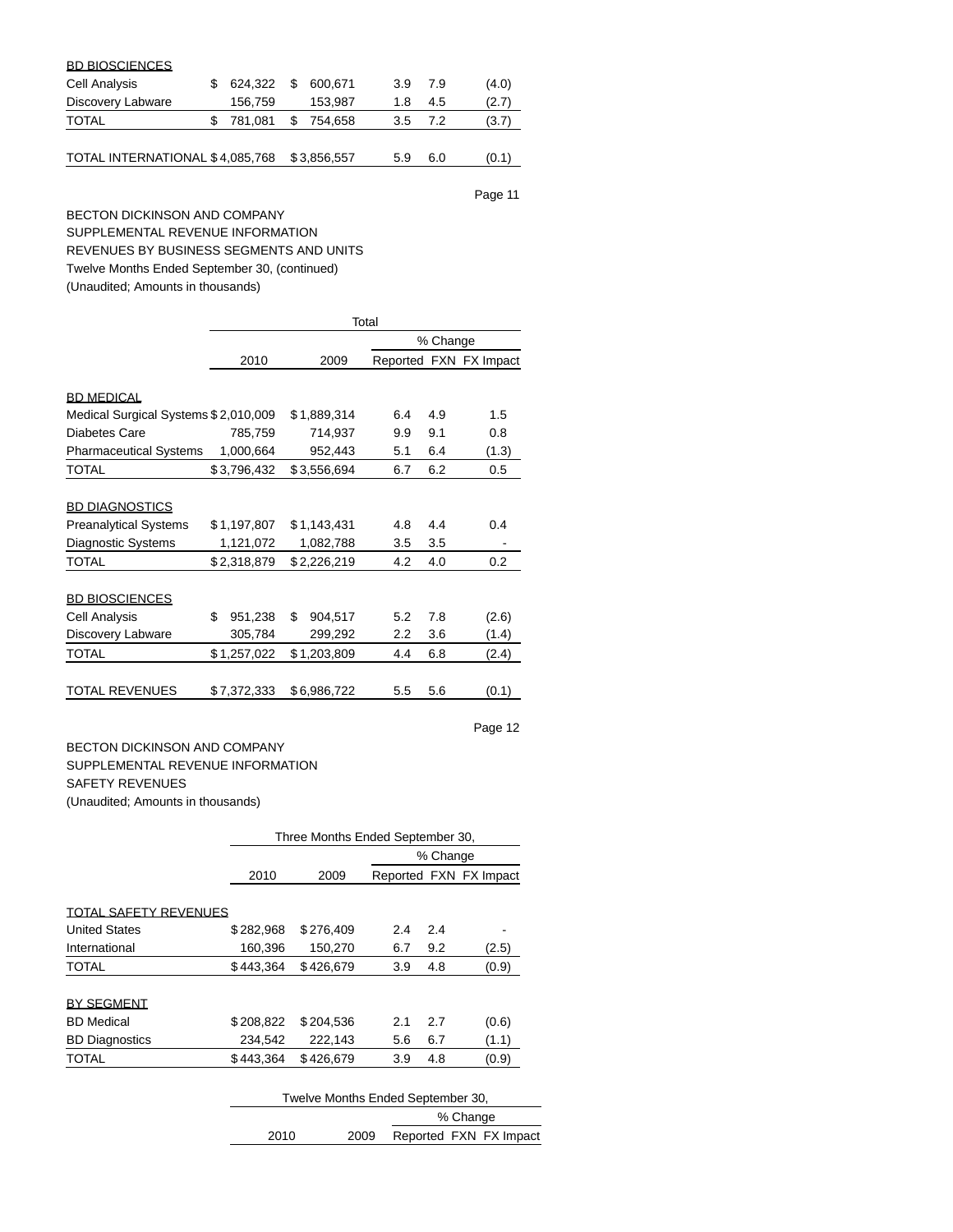| <b>BD BIOSCIENCES</b>           |    |         |    |             |     |     |       |
|---------------------------------|----|---------|----|-------------|-----|-----|-------|
| Cell Analysis                   |    | 624.322 | S  | 600.671     | 3.9 | 7.9 | (4.0) |
| Discovery Labware               |    | 156,759 |    | 153.987     | 1.8 | 4.5 | (2.7) |
| <b>TOTAL</b>                    | S. | 781.081 | \$ | 754.658     | 3.5 | 7.2 | (3.7) |
|                                 |    |         |    |             |     |     |       |
| TOTAL INTERNATIONAL \$4,085,768 |    |         |    | \$3,856,557 | 5.9 | 6.0 | (0.1) |

BECTON DICKINSON AND COMPANY SUPPLEMENTAL REVENUE INFORMATION REVENUES BY BUSINESS SEGMENTS AND UNITS

Twelve Months Ended September 30, (continued)

(Unaudited; Amounts in thousands)

|                                      | Total         |               |     |     |                        |  |  |  |  |
|--------------------------------------|---------------|---------------|-----|-----|------------------------|--|--|--|--|
|                                      |               | % Change      |     |     |                        |  |  |  |  |
|                                      | 2010          | 2009          |     |     | Reported FXN FX Impact |  |  |  |  |
|                                      |               |               |     |     |                        |  |  |  |  |
| <b>BD MEDICAL</b>                    |               |               |     |     |                        |  |  |  |  |
| Medical Surgical Systems \$2,010,009 |               | \$1,889,314   | 6.4 | 4.9 | 1.5                    |  |  |  |  |
| Diabetes Care                        | 785,759       | 714,937       | 9.9 | 9.1 | 0.8                    |  |  |  |  |
| <b>Pharmaceutical Systems</b>        | 1,000,664     | 952,443       | 5.1 | 6.4 | (1.3)                  |  |  |  |  |
| <b>TOTAL</b>                         | \$3,796,432   | \$3,556,694   | 6.7 | 6.2 | 0.5                    |  |  |  |  |
|                                      |               |               |     |     |                        |  |  |  |  |
| <b>BD DIAGNOSTICS</b>                |               |               |     |     |                        |  |  |  |  |
| <b>Preanalytical Systems</b>         | \$1,197,807   | \$1,143,431   | 4.8 | 4.4 | 0.4                    |  |  |  |  |
| <b>Diagnostic Systems</b>            | 1,121,072     | 1,082,788     | 3.5 | 3.5 |                        |  |  |  |  |
| <b>TOTAL</b>                         | \$2,318,879   | \$2,226,219   | 4.2 | 4.0 | 0.2                    |  |  |  |  |
|                                      |               |               |     |     |                        |  |  |  |  |
| <b>BD BIOSCIENCES</b>                |               |               |     |     |                        |  |  |  |  |
| <b>Cell Analysis</b>                 | \$<br>951,238 | \$<br>904,517 | 5.2 | 7.8 | (2.6)                  |  |  |  |  |
| Discovery Labware                    | 305,784       | 299,292       | 2.2 | 3.6 | (1.4)                  |  |  |  |  |
| <b>TOTAL</b>                         | \$1,257,022   | \$1,203,809   | 4.4 | 6.8 | (2.4)                  |  |  |  |  |
|                                      |               |               |     |     |                        |  |  |  |  |
| <b>TOTAL REVENUES</b>                | \$7,372,333   | \$6,986,722   | 5.5 | 5.6 | (0.1)                  |  |  |  |  |

## Page 12

## BECTON DICKINSON AND COMPANY SUPPLEMENTAL REVENUE INFORMATION SAFETY REVENUES (Unaudited; Amounts in thousands)

|                              | Three Months Ended September 30, |           |     |     |                        |  |  |  |
|------------------------------|----------------------------------|-----------|-----|-----|------------------------|--|--|--|
|                              | % Change                         |           |     |     |                        |  |  |  |
|                              | 2010                             | 2009      |     |     | Reported FXN FX Impact |  |  |  |
|                              |                                  |           |     |     |                        |  |  |  |
| <b>TOTAL SAFETY REVENUES</b> |                                  |           |     |     |                        |  |  |  |
| <b>United States</b>         | \$282,968                        | \$276.409 | 2.4 | 2.4 |                        |  |  |  |
| International                | 160.396                          | 150.270   | 6.7 | 9.2 | (2.5)                  |  |  |  |
| <b>TOTAL</b>                 | \$443,364                        | \$426.679 | 3.9 | 4.8 | (0.9)                  |  |  |  |
|                              |                                  |           |     |     |                        |  |  |  |
| <b>BY SEGMENT</b>            |                                  |           |     |     |                        |  |  |  |
| <b>BD</b> Medical            | \$208,822                        | \$204.536 | 2.1 | 2.7 | (0.6)                  |  |  |  |
| <b>BD Diagnostics</b>        | 234,542                          | 222,143   | 5.6 | 6.7 | (1.1)                  |  |  |  |
| <b>TOTAL</b>                 | \$443,364                        | \$426.679 | 3.9 | 4.8 | (0.9)                  |  |  |  |
|                              |                                  |           |     |     |                        |  |  |  |

| Twelve Months Ended September 30, |      |                        |  |  |  |  |  |
|-----------------------------------|------|------------------------|--|--|--|--|--|
| % Change                          |      |                        |  |  |  |  |  |
| 2010                              | 2009 | Reported FXN FX Impact |  |  |  |  |  |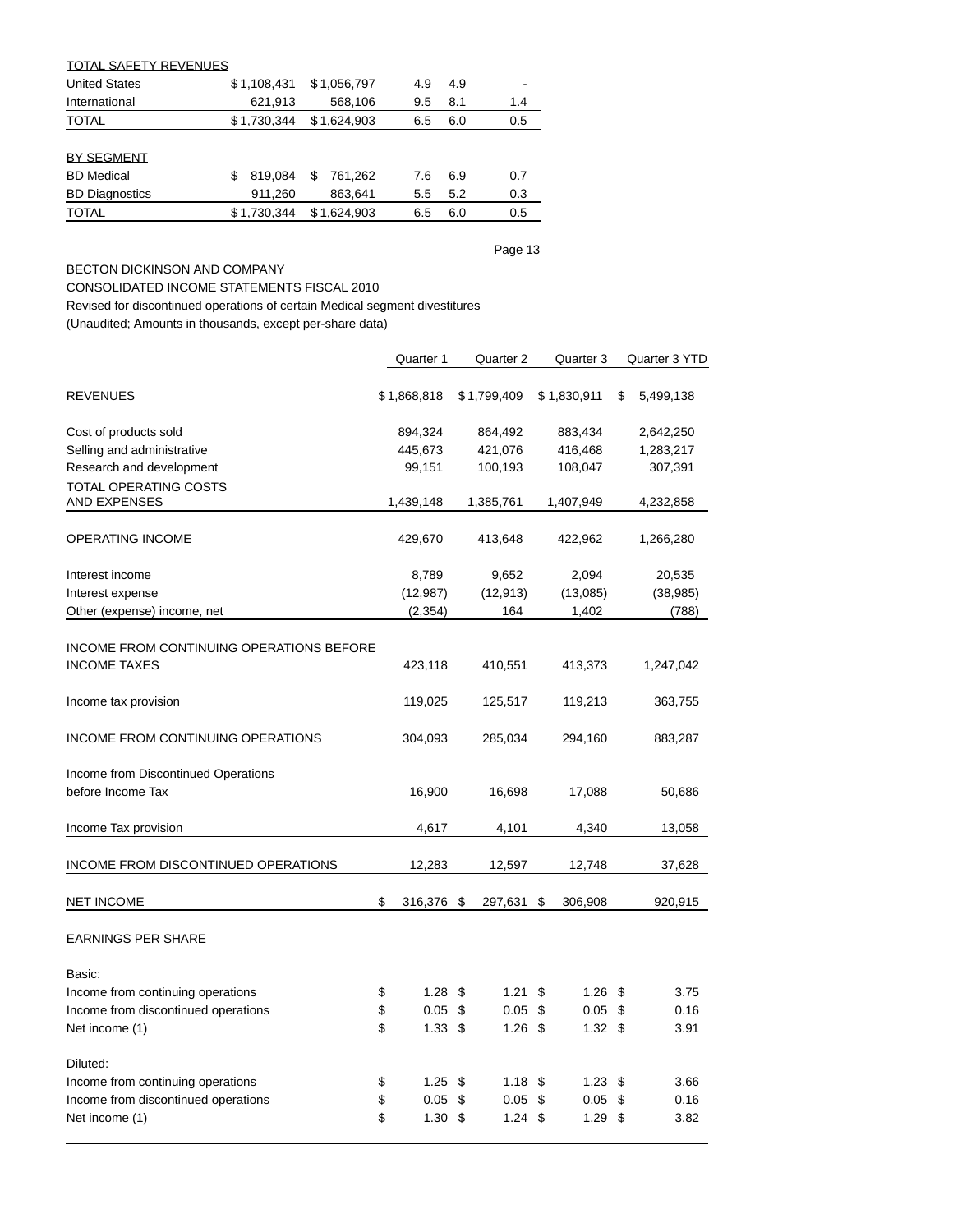| <b>TOTAL SAFETY REVENUES</b> |               |               |     |     |     |
|------------------------------|---------------|---------------|-----|-----|-----|
| <b>United States</b>         | \$1,108,431   | \$1,056,797   | 4.9 | 4.9 |     |
| International                | 621,913       | 568,106       | 9.5 | 8.1 | 1.4 |
| <b>TOTAL</b>                 | \$1.730.344   | \$1.624.903   | 6.5 | 6.0 | 0.5 |
|                              |               |               |     |     |     |
| <b>BY SEGMENT</b>            |               |               |     |     |     |
| <b>BD</b> Medical            | 819.084<br>\$ | 761.262<br>\$ | 7.6 | 6.9 | 0.7 |
| <b>BD Diagnostics</b>        | 911,260       | 863,641       | 5.5 | 5.2 | 0.3 |
| <b>TOTAL</b>                 | \$1,730,344   | \$1,624,903   | 6.5 | 6.0 | 0.5 |
|                              |               |               |     |     |     |

# BECTON DICKINSON AND COMPANY

CONSOLIDATED INCOME STATEMENTS FISCAL 2010

Revised for discontinued operations of certain Medical segment divestitures

(Unaudited; Amounts in thousands, except per-share data)

|                                                                 | Quarter 1               | Quarter 2               | Quarter 3         | Quarter 3 YTD   |
|-----------------------------------------------------------------|-------------------------|-------------------------|-------------------|-----------------|
| <b>REVENUES</b>                                                 | \$1,868,818             | \$1,799,409             | \$1,830,911       | \$<br>5,499,138 |
| Cost of products sold                                           | 894,324                 | 864,492                 | 883,434           | 2,642,250       |
| Selling and administrative                                      | 445,673                 | 421,076                 | 416,468           | 1,283,217       |
| Research and development                                        | 99,151                  | 100,193                 | 108,047           | 307,391         |
| TOTAL OPERATING COSTS                                           |                         |                         |                   |                 |
| <b>AND EXPENSES</b>                                             | 1,439,148               | 1,385,761               | 1,407,949         | 4,232,858       |
| <b>OPERATING INCOME</b>                                         | 429,670                 | 413,648                 | 422,962           | 1,266,280       |
| Interest income                                                 | 8,789                   | 9,652                   | 2,094             | 20,535          |
| Interest expense                                                | (12, 987)               | (12, 913)               | (13,085)          | (38, 985)       |
| Other (expense) income, net                                     | (2, 354)                | 164                     | 1,402             | (788)           |
| INCOME FROM CONTINUING OPERATIONS BEFORE<br><b>INCOME TAXES</b> | 423,118                 | 410,551                 | 413,373           | 1,247,042       |
| Income tax provision                                            | 119,025                 | 125,517                 | 119,213           | 363,755         |
| INCOME FROM CONTINUING OPERATIONS                               | 304,093                 | 285,034                 | 294,160           | 883,287         |
| Income from Discontinued Operations<br>before Income Tax        | 16,900                  | 16,698                  | 17,088            | 50,686          |
| Income Tax provision                                            | 4,617                   | 4,101                   | 4,340             | 13,058          |
| INCOME FROM DISCONTINUED OPERATIONS                             | 12,283                  | 12,597                  | 12,748            | 37,628          |
| <b>NET INCOME</b>                                               | \$<br>316,376 \$        | 297,631                 | \$<br>306,908     | 920,915         |
| <b>EARNINGS PER SHARE</b>                                       |                         |                         |                   |                 |
| Basic:                                                          |                         |                         |                   |                 |
| Income from continuing operations                               | \$<br>1.28 <sup>5</sup> | 1.21                    | \$<br>$1.26$ \$   | 3.75            |
| Income from discontinued operations                             | \$<br>0.05              | \$<br>0.05              | \$<br>0.05        | \$<br>0.16      |
| Net income (1)                                                  | \$<br>1.33 <sup>5</sup> | $1.26$ \$               | 1.32 <sup>5</sup> | 3.91            |
| Diluted:                                                        |                         |                         |                   |                 |
| Income from continuing operations                               | \$<br>1.25              | \$<br>1.18              | \$<br>1.23        | \$<br>3.66      |
| Income from discontinued operations                             | \$<br>0.05              | \$<br>0.05              | \$<br>0.05        | \$<br>0.16      |
| Net income (1)                                                  | \$<br>1.30              | \$<br>$1.24 \text{ } $$ | 1.29              | \$<br>3.82      |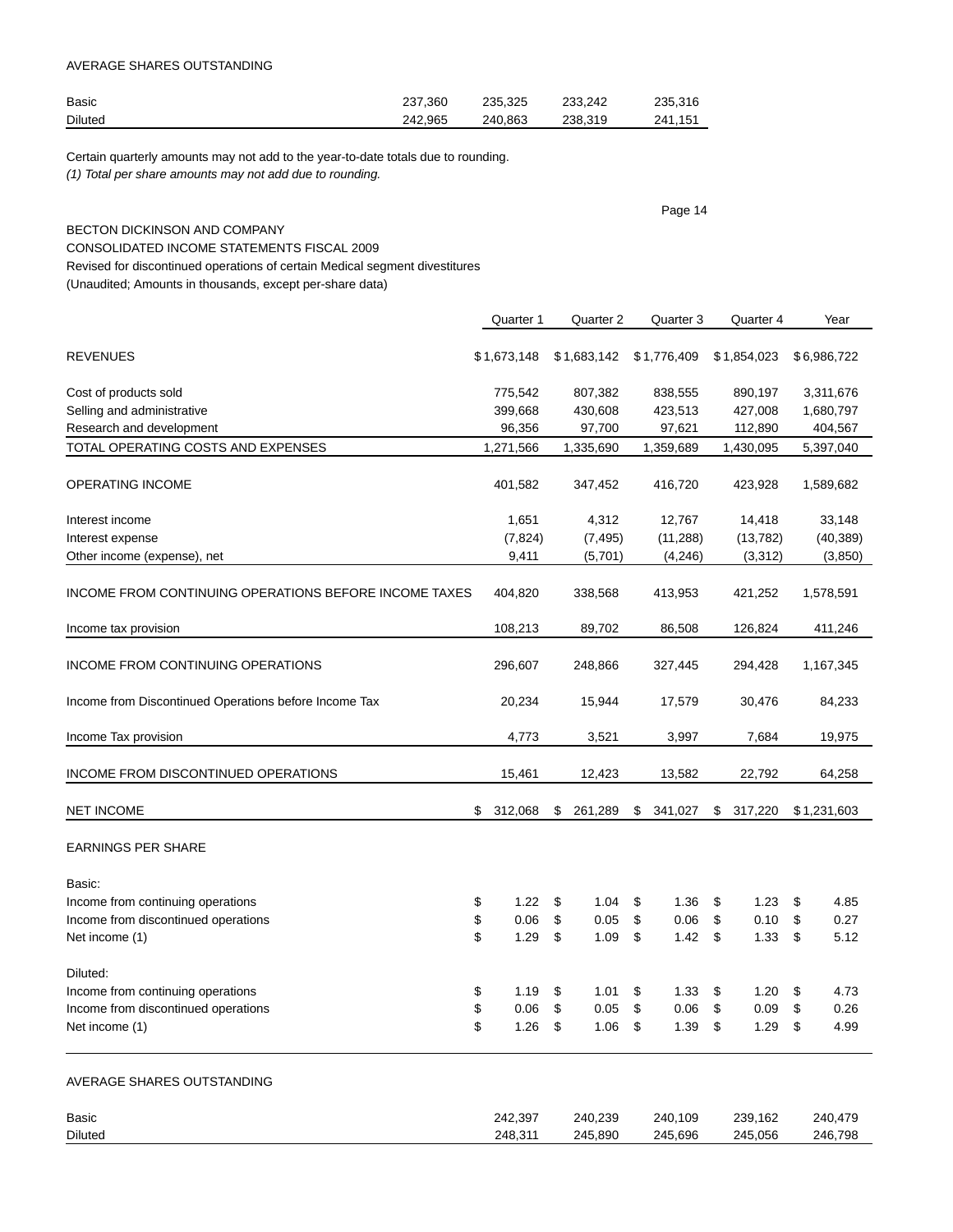### AVERAGE SHARES OUTSTANDING

| Basic          | 237.360 | 235.325 | 233.242 | 235.316 |
|----------------|---------|---------|---------|---------|
| <b>Diluted</b> | 242.965 | 240.863 | 238.319 | 241.151 |

Certain quarterly amounts may not add to the year-to-date totals due to rounding. (1) Total per share amounts may not add due to rounding.

|                                                                             | Page 14 |             |                           |             |    |             |               |             |
|-----------------------------------------------------------------------------|---------|-------------|---------------------------|-------------|----|-------------|---------------|-------------|
| <b>BECTON DICKINSON AND COMPANY</b>                                         |         |             |                           |             |    |             |               |             |
| CONSOLIDATED INCOME STATEMENTS FISCAL 2009                                  |         |             |                           |             |    |             |               |             |
| Revised for discontinued operations of certain Medical segment divestitures |         |             |                           |             |    |             |               |             |
| (Unaudited; Amounts in thousands, except per-share data)                    |         |             |                           |             |    |             |               |             |
|                                                                             |         |             |                           |             |    |             |               |             |
|                                                                             |         | Quarter 1   |                           | Quarter 2   |    | Quarter 3   | Quarter 4     | Year        |
| <b>REVENUES</b>                                                             |         | \$1,673,148 |                           | \$1,683,142 |    | \$1,776,409 | \$1,854,023   | \$6,986,722 |
| Cost of products sold                                                       |         | 775,542     |                           | 807,382     |    | 838,555     | 890,197       | 3,311,676   |
| Selling and administrative                                                  |         | 399,668     |                           | 430,608     |    | 423,513     | 427,008       | 1,680,797   |
| Research and development                                                    |         | 96,356      |                           | 97,700      |    | 97,621      | 112,890       | 404,567     |
| TOTAL OPERATING COSTS AND EXPENSES                                          |         | 1,271,566   |                           | 1,335,690   |    | 1,359,689   | 1,430,095     | 5,397,040   |
| OPERATING INCOME                                                            |         | 401,582     |                           | 347,452     |    | 416,720     | 423,928       | 1,589,682   |
| Interest income                                                             |         | 1,651       |                           | 4,312       |    | 12,767      | 14,418        | 33,148      |
| Interest expense                                                            |         | (7, 824)    |                           | (7, 495)    |    | (11, 288)   | (13, 782)     | (40, 389)   |
| Other income (expense), net                                                 |         | 9,411       |                           | (5,701)     |    | (4,246)     | (3,312)       | (3, 850)    |
| INCOME FROM CONTINUING OPERATIONS BEFORE INCOME TAXES                       |         | 404,820     |                           | 338,568     |    | 413,953     | 421,252       | 1,578,591   |
| Income tax provision                                                        |         | 108,213     |                           | 89,702      |    | 86,508      | 126,824       | 411,246     |
| INCOME FROM CONTINUING OPERATIONS                                           |         | 296,607     |                           | 248,866     |    | 327,445     | 294,428       | 1,167,345   |
| Income from Discontinued Operations before Income Tax                       |         | 20,234      |                           | 15,944      |    | 17,579      | 30,476        | 84,233      |
| Income Tax provision                                                        |         | 4,773       |                           | 3,521       |    | 3,997       | 7,684         | 19,975      |
| INCOME FROM DISCONTINUED OPERATIONS                                         |         | 15,461      |                           | 12,423      |    | 13,582      | 22,792        | 64,258      |
| <b>NET INCOME</b>                                                           | \$      | 312,068     | \$                        | 261,289     | \$ | 341,027     | \$<br>317,220 | \$1,231,603 |
| <b>EARNINGS PER SHARE</b>                                                   |         |             |                           |             |    |             |               |             |
| Basic:                                                                      |         |             |                           |             |    |             |               |             |
| Income from continuing operations                                           | \$      | 1.22        | $\boldsymbol{\mathsf{S}}$ | $1.04$ \$   |    | 1.36        | \$<br>1.23    | \$<br>4.85  |
| Income from discontinued operations                                         | \$      | 0.06        | \$                        | 0.05        | \$ | 0.06        | \$<br>0.10    | \$<br>0.27  |
| Net income (1)                                                              | \$      | 1.29        | \$                        | 1.09        | \$ | 1.42        | \$<br>1.33    | \$<br>5.12  |
| Diluted:                                                                    |         |             |                           |             |    |             |               |             |
| Income from continuing operations                                           | \$      | 1.19        | \$                        | 1.01        | \$ | 1.33        | \$<br>1.20    | \$<br>4.73  |
| Income from discontinued operations                                         | \$      | 0.06        | \$                        | 0.05        | \$ | 0.06        | \$<br>0.09    | \$<br>0.26  |
| Net income (1)                                                              | \$      | 1.26        | \$                        | 1.06        | \$ | 1.39        | \$<br>1.29    | \$<br>4.99  |
|                                                                             |         |             |                           |             |    |             |               |             |
| AVERAGE SHARES OUTSTANDING                                                  |         |             |                           |             |    |             |               |             |

| Basic          | 242.397 | 240.239 | 240.109 | 239,162 | 240.479 |
|----------------|---------|---------|---------|---------|---------|
| <b>Diluted</b> | 248.311 | 245.890 | 245.696 | 245.056 | 246.798 |